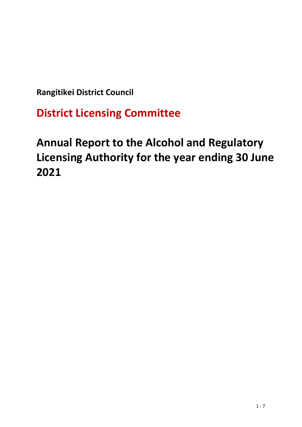**Rangitikei District Council** 

**District Licensing Committee**

# **Annual Report to the Alcohol and Regulatory Licensing Authority for the year ending 30 June 2021**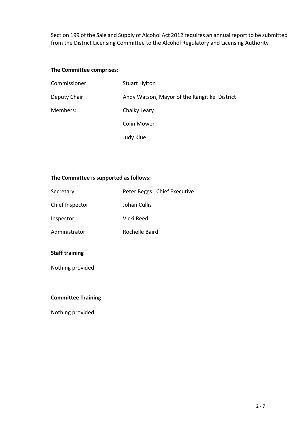Section 199 of the Sale and Supply of Alcohol Act 2012 requires an annual report to be submitted from the District Licensing Committee to the Alcohol Regulatory and Licensing Authority

#### **The Committee comprises**:

| Commissioner: | <b>Stuart Hylton</b>                          |
|---------------|-----------------------------------------------|
| Deputy Chair  | Andy Watson, Mayor of the Rangitikei District |
| Members:      | Chalky Leary                                  |
|               | <b>Colin Mower</b>                            |
|               | Judy Klue                                     |

#### **The Committee is supported as follows:**

| Secretary       | Peter Beggs, Chief Executive |
|-----------------|------------------------------|
| Chief Inspector | Johan Cullis                 |
| Inspector       | Vicki Reed                   |
| Administrator   | Rochelle Baird               |

## **Staff training**

Nothing provided.

## **Committee Training**

Nothing provided.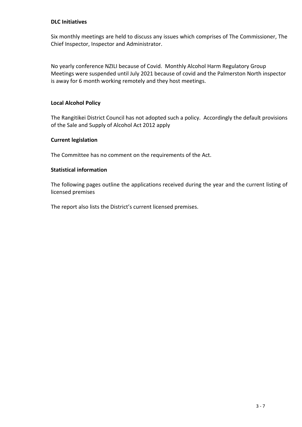#### **DLC Initiatives**

Six monthly meetings are held to discuss any issues which comprises of The Commissioner, The Chief Inspector, Inspector and Administrator.

No yearly conference NZILI because of Covid. Monthly Alcohol Harm Regulatory Group Meetings were suspended until July 2021 because of covid and the Palmerston North inspector is away for 6 month working remotely and they host meetings.

### **Local Alcohol Policy**

The Rangitikei District Council has not adopted such a policy. Accordingly the default provisions of the Sale and Supply of Alcohol Act 2012 apply

#### **Current legislation**

The Committee has no comment on the requirements of the Act.

#### **Statistical information**

The following pages outline the applications received during the year and the current listing of licensed premises

The report also lists the District's current licensed premises.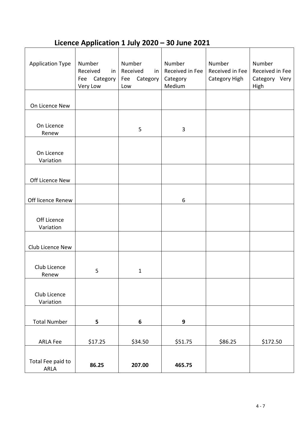## **Licence Application 1 July 2020 – 30 June 2021**

| <b>Application Type</b>   | Number<br>Received<br>in<br>Category<br>Fee<br>Very Low | Number<br>Received<br>in<br>Category<br>Fee<br>Low | Number<br>Received in Fee<br>Category<br>Medium | Number<br>Received in Fee<br>Category High | Number<br>Received in Fee<br>Category Very<br>High |
|---------------------------|---------------------------------------------------------|----------------------------------------------------|-------------------------------------------------|--------------------------------------------|----------------------------------------------------|
|                           |                                                         |                                                    |                                                 |                                            |                                                    |
| On Licence New            |                                                         |                                                    |                                                 |                                            |                                                    |
|                           |                                                         |                                                    |                                                 |                                            |                                                    |
| On Licence                |                                                         | 5                                                  | 3                                               |                                            |                                                    |
| Renew                     |                                                         |                                                    |                                                 |                                            |                                                    |
| On Licence<br>Variation   |                                                         |                                                    |                                                 |                                            |                                                    |
|                           |                                                         |                                                    |                                                 |                                            |                                                    |
| Off Licence New           |                                                         |                                                    |                                                 |                                            |                                                    |
|                           |                                                         |                                                    |                                                 |                                            |                                                    |
| Off licence Renew         |                                                         |                                                    | $\boldsymbol{6}$                                |                                            |                                                    |
| Off Licence<br>Variation  |                                                         |                                                    |                                                 |                                            |                                                    |
|                           |                                                         |                                                    |                                                 |                                            |                                                    |
| Club Licence New          |                                                         |                                                    |                                                 |                                            |                                                    |
| Club Licence<br>Renew     | 5                                                       | $\mathbf{1}$                                       |                                                 |                                            |                                                    |
| Club Licence<br>Variation |                                                         |                                                    |                                                 |                                            |                                                    |
|                           |                                                         |                                                    |                                                 |                                            |                                                    |
| <b>Total Number</b>       | 5                                                       | $\boldsymbol{6}$                                   | 9                                               |                                            |                                                    |
| <b>ARLA Fee</b>           | \$17.25                                                 | \$34.50                                            | \$51.75                                         | \$86.25                                    | \$172.50                                           |
| Total Fee paid to<br>ARLA | 86.25                                                   | 207.00                                             | 465.75                                          |                                            |                                                    |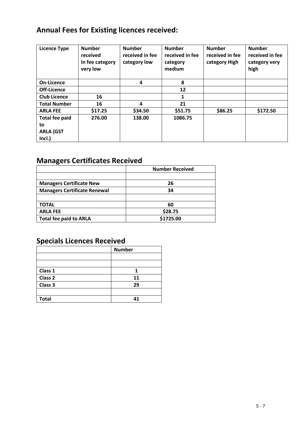## **Annual Fees for Existing licences received:**

| <b>Licence Type</b>   | <b>Number</b><br>received<br>In fee category<br>very low | <b>Number</b><br>received in fee<br>category low | <b>Number</b><br>received in fee<br>category<br>medium | <b>Number</b><br>received in fee<br>category High | <b>Number</b><br>received in fee<br>category very<br>high |
|-----------------------|----------------------------------------------------------|--------------------------------------------------|--------------------------------------------------------|---------------------------------------------------|-----------------------------------------------------------|
| <b>On-Licence</b>     |                                                          | 4                                                | 8                                                      |                                                   |                                                           |
| Off-Licence           |                                                          |                                                  | 12                                                     |                                                   |                                                           |
| <b>Club Licence</b>   | 16                                                       |                                                  | 1                                                      |                                                   |                                                           |
| <b>Total Number</b>   | 16                                                       | 4                                                | 21                                                     |                                                   |                                                           |
| <b>ARLA FEE</b>       | \$17.25                                                  | \$34.50                                          | \$51.75                                                | \$86.25                                           | \$172.50                                                  |
| <b>Total fee paid</b> | 276.00                                                   | 138.00                                           | 1086.75                                                |                                                   |                                                           |
| to                    |                                                          |                                                  |                                                        |                                                   |                                                           |
| <b>ARLA (GST</b>      |                                                          |                                                  |                                                        |                                                   |                                                           |
| Incl.)                |                                                          |                                                  |                                                        |                                                   |                                                           |

## **Managers Certificates Received**

|                                     | <b>Number Received</b> |
|-------------------------------------|------------------------|
|                                     |                        |
| <b>Managers Certificate New</b>     | 26                     |
| <b>Managers Certificate Renewal</b> | 34                     |
|                                     |                        |
| TOTAL                               | 60                     |
| <b>ARLA FEE</b>                     | \$28.75                |
| <b>Total fee paid to ARLA</b>       | \$1725.00              |

## **Specials Licences Received**

|              | <b>Number</b> |
|--------------|---------------|
|              |               |
|              |               |
| Class 1      |               |
| Class 2      | 11            |
| Class 3      | 29            |
|              |               |
| <b>Total</b> | 41            |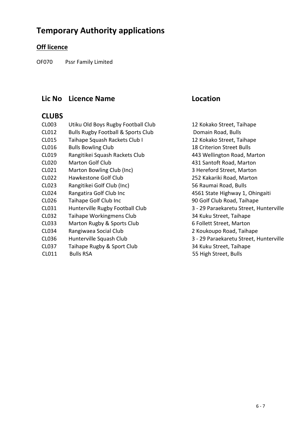## **Temporary Authority applications**

## **Off licence**

OF070 Pssr Family Limited

## **Lic No Licence Name Location**

## **CLUBS**

| CL003        | Utiku Old Boys Rugby Football Club            | 12 Kokako Street, Taihape              |
|--------------|-----------------------------------------------|----------------------------------------|
| CL012        | <b>Bulls Rugby Football &amp; Sports Club</b> | Domain Road, Bulls                     |
| CL015        | Taihape Squash Rackets Club I                 | 12 Kokako Street, Taihape              |
| CL016        | <b>Bulls Bowling Club</b>                     | <b>18 Criterion Street Bulls</b>       |
| CL019        | Rangitikei Squash Rackets Club                | 443 Wellington Road, Marton            |
| <b>CL020</b> | <b>Marton Golf Club</b>                       | 431 Santoft Road, Marton               |
| CL021        | Marton Bowling Club (Inc)                     | 3 Hereford Street, Marton              |
| CL022        | Hawkestone Golf Club                          | 252 Kakariki Road, Marton              |
| CL023        | Rangitikei Golf Club (Inc)                    | 56 Raumai Road, Bulls                  |
| CL024        | Rangatira Golf Club Inc                       | 4561 State Highway 1, Ohingaiti        |
| CL026        | Taihape Golf Club Inc                         | 90 Golf Club Road, Taihape             |
| CL031        | Hunterville Rugby Football Club               | 3 - 29 Paraekaretu Street, Hunterville |
| CL032        | Taihape Workingmens Club                      | 34 Kuku Street, Taihape                |
| CL033        | Marton Rugby & Sports Club                    | 6 Follett Street, Marton               |
| CL034        | Rangiwaea Social Club                         | 2 Koukoupo Road, Taihape               |
| CL036        | Hunterville Squash Club                       | 3 - 29 Paraekaretu Street, Hunterville |
| <b>CL037</b> | Taihape Rugby & Sport Club                    | 34 Kuku Street, Taihape                |
| CL011        | <b>Bulls RSA</b>                              | 55 High Street, Bulls                  |
|              |                                               |                                        |